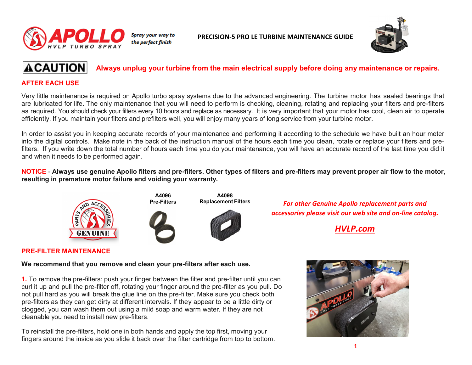

**PRECISION-5 PRO LE TURBINE MAINTENANCE GUIDE**



#### **ACAUTION Always unplug your turbine from the main electrical supply before doing any maintenance or repairs.**

# **AFTER EACH USE**

Very little maintenance is required on Apollo turbo spray systems due to the advanced engineering. The turbine motor has sealed bearings that are lubricated for life. The only maintenance that you will need to perform is checking, cleaning, rotating and replacing your filters and pre-filters as required. You should check your filters every 10 hours and replace as necessary. It is very important that your motor has cool, clean air to operate efficiently. If you maintain your filters and prefilters well, you will enjoy many years of long service from your turbine motor.

In order to assist you in keeping accurate records of your maintenance and performing it according to the schedule we have built an hour meter into the digital controls. Make note in the back of the instruction manual of the hours each time you clean, rotate or replace your filters and prefilters. If you write down the total number of hours each time you do your maintenance, you will have an accurate record of the last time you did it and when it needs to be performed again.

NOTICE - Always use genuine Apollo filters and pre-filters. Other types of filters and pre-filters may prevent proper air flow to the motor, **resulting in premature motor failure and voiding your warranty.**





**A4098 Replacement Filters**



**For other Genuine Apollo replacement parts and** *accessories please visit our web site and on-line catalog.*

*[HVLP.com](https://hvlp.com/)*

# **PRE-FILTER MAINTENANCE**

**We recommend that you remove and clean your pre-filters after each use.**

**1.** To remove the pre-filters: push your finger between the filter and pre-filter until you can curl it up and pull the pre-filter off, rotating your finger around the pre-filter as you pull. Do not pull hard as you will break the glue line on the pre-filter. Make sure you check both pre-filters as they can get dirty at different intervals. If they appear to be a little dirty or clogged, you can wash them out using a mild soap and warm water. If they are not cleanable you need to install new pre-filters.

To reinstall the pre-filters, hold one in both hands and apply the top first, moving your fingers around the inside as you slide it back over the filter cartridge from top to bottom.